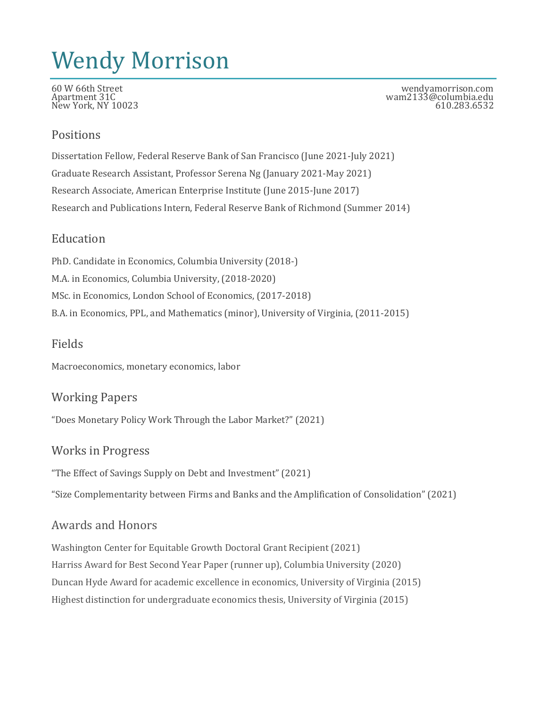# Wendy Morrison

New York, NY 10023.

60 W 66th Street wendyamorrison.com wam2133@columbia.edu<br>610.283.6532

#### Positions

Dissertation Fellow, Federal Reserve Bank of San Francisco (June 2021-July 2021) Graduate Research Assistant, Professor Serena Ng (January 2021-May 2021) Research Associate, American Enterprise Institute (June 2015-June 2017) Research and Publications Intern, Federal Reserve Bank of Richmond (Summer 2014)

#### **Education**

PhD. Candidate in Economics, Columbia University (2018-) M.A. in Economics, Columbia University, (2018-2020) MSc. in Economics, London School of Economics, (2017-2018) B.A. in Economics, PPL, and Mathematics (minor), University of Virginia, (2011-2015)

### Fields

Macroeconomics, monetary economics, labor

#### Working Papers

"Does Monetary Policy Work Through the Labor Market?" (2021)

#### Works in Progress

"The Effect of Savings Supply on Debt and Investment" (2021)

"Size Complementarity between Firms and Banks and the Amplification of Consolidation" (2021)

## Awards and Honors

Washington Center for Equitable Growth Doctoral Grant Recipient (2021) Harriss Award for Best Second Year Paper (runner up), Columbia University (2020) Duncan Hyde Award for academic excellence in economics, University of Virginia (2015) Highest distinction for undergraduate economics thesis, University of Virginia (2015)